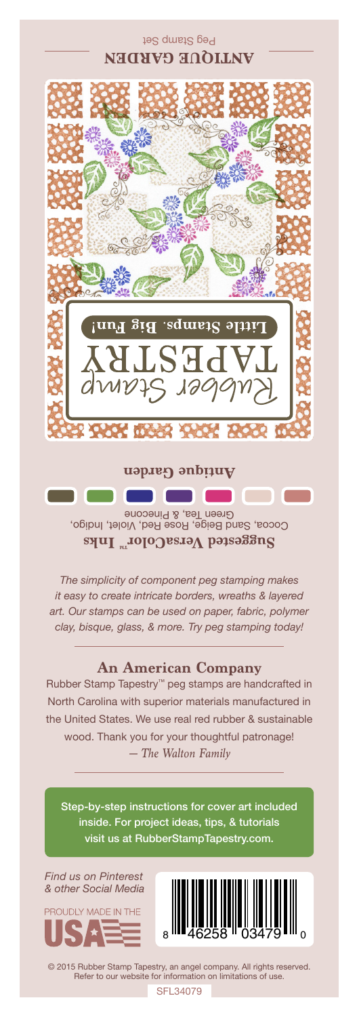

Cocoa, Sand Beige, Rose Red, Violet, Indigo, Green Tea, & Pinecone **Suggested VersaColorTM Inks**

*The simplicity of component peg stamping makes it easy to create intricate borders, wreaths & layered art. Our stamps can be used on paper, fabric, polymer clay, bisque, glass, & more. Try peg stamping today!*

## **An American Company**

*— The Walton Family* Rubber Stamp Tapestry™ peg stamps are handcrafted in North Carolina with superior materials manufactured in the United States. We use real red rubber & sustainable wood. Thank you for your thoughtful patronage!

Step-by-step instructions for cover art included inside. For project ideas, tips, & tutorials visit us at RubberStampTapestry.com.

*Find us on Pinterest & other Social Media*





© 2015 Rubber Stamp Tapestry, an angel company. All rights reserved. Refer to our website for information on limitations of use.